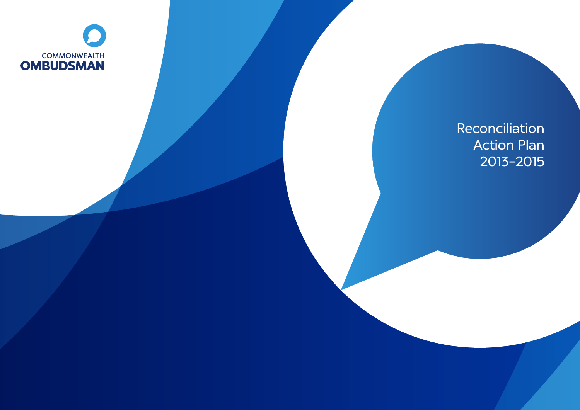

Reconciliation Action Plan 2013–2015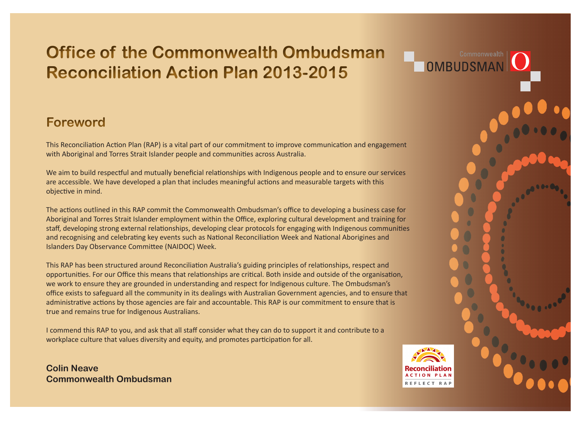# **Office of the Commonwealth Ombudsman Reconciliation Action Plan 2013-2015**

#### **Foreword**

This Reconciliation Action Plan (RAP) is a vital part of our commitment to improve communication and engagement with Aboriginal and Torres Strait Islander people and communities across Australia.

We aim to build respectful and mutually beneficial relationships with Indigenous people and to ensure our services are accessible. We have developed a plan that includes meaningful actions and measurable targets with this objective in mind.

The actions outlined in this RAP commit the Commonwealth Ombudsman's office to developing a business case for Aboriginal and Torres Strait Islander employment within the Office, exploring cultural development and training for staff, developing strong external relationships, developing clear protocols for engaging with Indigenous communities and recognising and celebrating key events such as National Reconciliation Week and National Aborigines and Islanders Day Observance Committee (NAIDOC) Week.

This RAP has been structured around Reconciliation Australia's guiding principles of relationships, respect and opportunities. For our Office this means that relationships are critical. Both inside and outside of the organisation, we work to ensure they are grounded in understanding and respect for Indigenous culture. The Ombudsman's office exists to safeguard all the community in its dealings with Australian Government agencies, and to ensure that administrative actions by those agencies are fair and accountable. This RAP is our commitment to ensure that is true and remains true for Indigenous Australians.

I commend this RAP to you, and ask that all staff consider what they can do to support it and contribute to a workplace culture that values diversity and equity, and promotes participation for all.

**Colin Neave Commonwealth Ombudsman** 



Commonwealth

OMBUDSN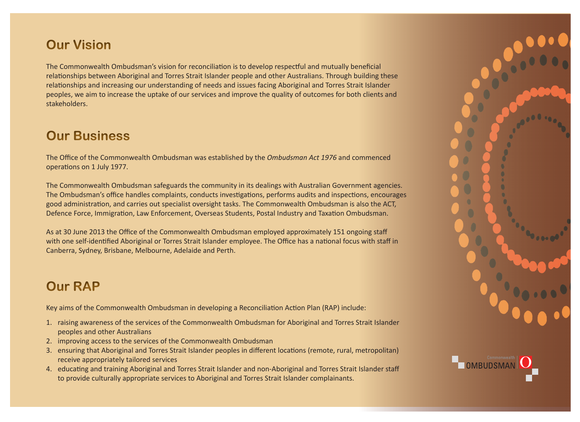## **Our Vision**

The Commonwealth Ombudsman's vision for reconciliation is to develop respectful and mutually beneficial relationships between Aboriginal and Torres Strait Islander people and other Australians. Through building these relationships and increasing our understanding of needs and issues facing Aboriginal and Torres Strait Islander peoples, we aim to increase the uptake of our services and improve the quality of outcomes for both clients and stakeholders.

#### **Our Business**

The Office of the Commonwealth Ombudsman was established by the *Ombudsman Act 1976* and commenced operations on 1 July 1977.

The Commonwealth Ombudsman safeguards the community in its dealings with Australian Government agencies. The Ombudsman's office handles complaints, conducts investigations, performs audits and inspections, encourages good administration, and carries out specialist oversight tasks. The Commonwealth Ombudsman is also the ACT, Defence Force, Immigration, Law Enforcement, Overseas Students, Postal Industry and Taxation Ombudsman.

As at 30 June 2013 the Office of the Commonwealth Ombudsman employed approximately 151 ongoing staff with one self-identified Aboriginal or Torres Strait Islander employee. The Office has a national focus with staff in Canberra, Sydney, Brisbane, Melbourne, Adelaide and Perth.

### **Our RAP**

Key aims of the Commonwealth Ombudsman in developing a Reconciliation Action Plan (RAP) include:

- 1. raising awareness of the services of the Commonwealth Ombudsman for Aboriginal and Torres Strait Islander peoples and other Australians
- 2. improving access to the services of the Commonwealth Ombudsman
- 3. ensuring that Aboriginal and Torres Strait Islander peoples in different locations (remote, rural, metropolitan) receive appropriately tailored services
- 4. educating and training Aboriginal and Torres Strait Islander and non-Aboriginal and Torres Strait Islander staff to provide culturally appropriate services to Aboriginal and Torres Strait Islander complainants.



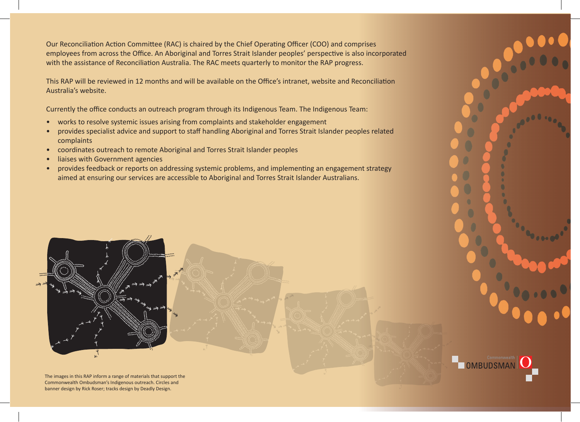Our Reconciliation Action Committee (RAC) is chaired by the Chief Operating Officer (COO) and comprises employees from across the Office. An Aboriginal and Torres Strait Islander peoples' perspective is also incorporated with the assistance of Reconciliation Australia. The RAC meets quarterly to monitor the RAP progress.

This RAP will be reviewed in 12 months and will be available on the Office's intranet, website and Reconciliation Australia's website.

Currently the office conducts an outreach program through its Indigenous Team. The Indigenous Team:

- works to resolve systemic issues arising from complaints and stakeholder engagement
- provides specialist advice and support to staff handling Aboriginal and Torres Strait Islander peoples related complaints
- coordinates outreach to remote Aboriginal and Torres Strait Islander peoples
- liaises with Government agencies
- Aboriginal and Torres Stra<br> *Aboriginal and Torres Stra* with Australian Government? aimed at ensuring our services are accessible to Aboriginal and Torres Strait Islander Australians. • provides feedback or reports on addressing systemic problems, and implementing an engagement strategy

www.ombudsman.gov.au

**1300 362 072**

www.ombudsman.gov.au **Got a problem**

with Australian Government?

ww.ombudsman.gov.au



The images in this RAP inform a range of materials that support the Commonwealth Ombudsman's Indigenous outreach. Circles and banner design by Rick Roser; tracks design by Deadly Design.

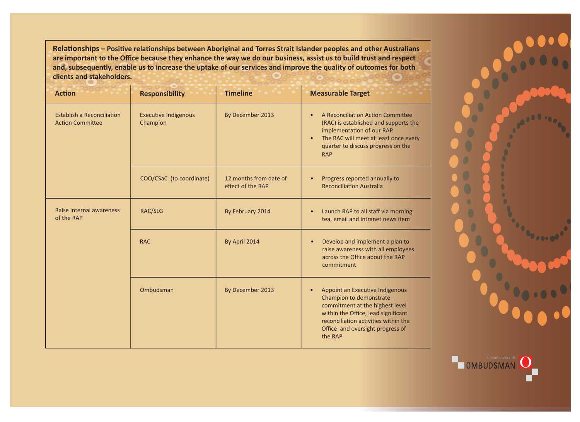**Relationships – Positive relationships between Aboriginal and Torres Strait Islander peoples and other Australians are important to the Office because they enhance the way we do our business, assist us to build trust and respect and, subsequently, enable us to increase the uptake of our services and improve the quality of outcomes for both clients and stakeholders.**

| <b>Action</b>                                                | <b>Responsibility</b>                   | <b>Timeline</b>                             | <b>Measurable Target</b>                                                                                                                                                                                                                 |
|--------------------------------------------------------------|-----------------------------------------|---------------------------------------------|------------------------------------------------------------------------------------------------------------------------------------------------------------------------------------------------------------------------------------------|
| <b>Establish a Reconciliation</b><br><b>Action Committee</b> | <b>Executive Indigenous</b><br>Champion | By December 2013                            | A Reconciliation Action Committee<br>$\bullet$<br>(RAC) is established and supports the<br>implementation of our RAP.<br>The RAC will meet at least once every<br>$\bullet$<br>quarter to discuss progress on the<br><b>RAP</b>          |
|                                                              | COO/CSaC (to coordinate)                | 12 months from date of<br>effect of the RAP | Progress reported annually to<br>$\bullet$<br><b>Reconciliation Australia</b>                                                                                                                                                            |
| Raise internal awareness<br>of the RAP                       | RAC/SLG                                 | By February 2014                            | Launch RAP to all staff via morning<br>$\bullet$<br>tea, email and intranet news item                                                                                                                                                    |
|                                                              | <b>RAC</b>                              | By April 2014                               | Develop and implement a plan to<br>$\bullet$<br>raise awareness with all employees<br>across the Office about the RAP<br>commitment                                                                                                      |
|                                                              | Ombudsman                               | By December 2013                            | Appoint an Executive Indigenous<br>$\bullet$<br>Champion to demonstrate<br>commitment at the highest level<br>within the Office, lead significant<br>reconciliation activities within the<br>Office and oversight progress of<br>the RAP |



<sub>Commonwealth</sub><br>OMBUDSMAN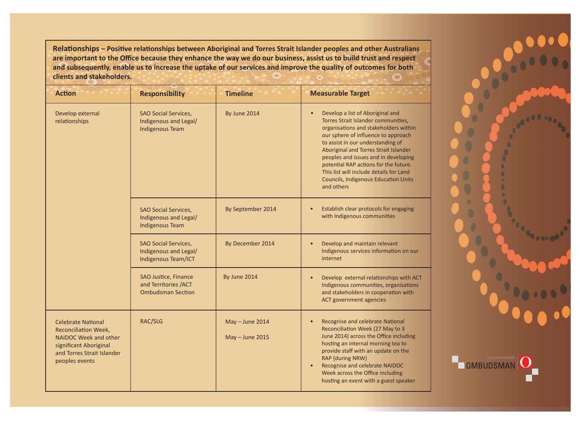**Relationships – Positive relationships between Aboriginal and Torres Strait Islander peoples and other Australians are important to the Office because they enhance the way we do our business, assist us to build trust and respect and subsequently, enable us to increase the uptake of our services and improve the quality of outcomes for both clients and stakeholders.**

| <b>Action</b>                                                                                                                                               | <b>Responsibility</b>                                                          | <b>Timeline</b>                        | <b>Measurable Target</b>                                                                                                                                                                                                                                                                                                                                                                                                       |
|-------------------------------------------------------------------------------------------------------------------------------------------------------------|--------------------------------------------------------------------------------|----------------------------------------|--------------------------------------------------------------------------------------------------------------------------------------------------------------------------------------------------------------------------------------------------------------------------------------------------------------------------------------------------------------------------------------------------------------------------------|
| Develop external<br>relationships                                                                                                                           | <b>SAO Social Services,</b><br>Indigenous and Legal/<br><b>Indigenous Team</b> | By June 2014                           | Develop a list of Aboriginal and<br>Torres Strait Islander communities,<br>organisations and stakeholders within<br>our sphere of influence to approach<br>to assist in our understanding of<br>Aboriginal and Torres Strait Islander<br>peoples and issues and in developing<br>potential RAP actions for the future.<br>This list will include details for Land<br><b>Councils, Indigenous Education Units</b><br>and others |
|                                                                                                                                                             | <b>SAO Social Services,</b><br>Indigenous and Legal/<br><b>Indigenous Team</b> | By September 2014                      | Establish clear protocols for engaging<br>$\bullet$<br>with Indigenous communities                                                                                                                                                                                                                                                                                                                                             |
|                                                                                                                                                             | SAO Social Services,<br>Indigenous and Legal/<br>Indigenous Team/ICT           | By December 2014                       | Develop and maintain relevant<br>$\bullet$<br>Indigenous services information on our<br>internet                                                                                                                                                                                                                                                                                                                               |
|                                                                                                                                                             | SAO Justice, Finance<br>and Territories /ACT<br><b>Ombudsman Section</b>       | By June 2014                           | Develop external relationships with ACT<br>$\bullet$<br>Indigenous communities, organisations<br>and stakeholders in cooperation with<br><b>ACT government agencies</b>                                                                                                                                                                                                                                                        |
| <b>Celebrate National</b><br><b>Reconciliation Week,</b><br>NAIDOC Week and other<br>significant Aboriginal<br>and Torres Strait Islander<br>peoples events | RAC/SLG                                                                        | $May - June 2014$<br>$May - June 2015$ | Recognise and celebrate National<br>$\bullet$<br>Reconciliation Week (27 May to 3<br>June 2014) across the Office including<br>hosting an internal morning tea to<br>provide staff with an update on the<br><b>RAP (during NRW)</b><br>Recognise and celebrate NAIDOC<br>$\bullet$<br>Week across the Office including<br>hosting an event with a guest speaker                                                                |



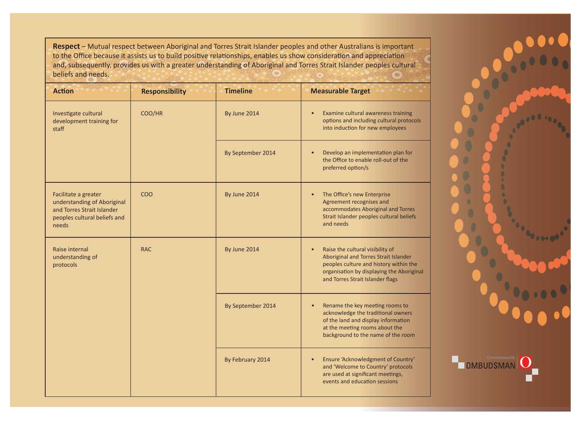**Respect** – Mutual respect between Aboriginal and Torres Strait Islander peoples and other Australians is important to the Office because it assists us to build positive relationships, enables us show consideration and appreciation and, subsequently, provides us with a greater understanding of Aboriginal and Torres Strait Islander peoples cultural beliefs and needs.

| <b>Action</b>                                                                                                              | <b>Responsibility</b> | <b>Timeline</b>   | <b>Measurable Target</b>                                                                                                                                                                                          |
|----------------------------------------------------------------------------------------------------------------------------|-----------------------|-------------------|-------------------------------------------------------------------------------------------------------------------------------------------------------------------------------------------------------------------|
| Investigate cultural<br>development training for<br>staff                                                                  | COO/HR                | By June 2014      | Examine cultural awareness training<br>$\bullet$<br>options and including cultural protocols<br>into induction for new employees                                                                                  |
|                                                                                                                            |                       | By September 2014 | Develop an implementation plan for<br>the Office to enable roll-out of the<br>preferred option/s                                                                                                                  |
| Facilitate a greater<br>understanding of Aboriginal<br>and Torres Strait Islander<br>peoples cultural beliefs and<br>needs | COO                   | By June 2014      | The Office's new Enterprise<br>$\bullet$<br>Agreement recognises and<br>accommodates Aboriginal and Torres<br>Strait Islander peoples cultural beliefs<br>and needs                                               |
| Raise internal<br>understanding of<br>protocols                                                                            | <b>RAC</b>            | By June 2014      | Raise the cultural visibility of<br>$\bullet$<br>Aboriginal and Torres Strait Islander<br>peoples culture and history within the<br>organisation by displaying the Aboriginal<br>and Torres Strait Islander flags |
|                                                                                                                            |                       | By September 2014 | Rename the key meeting rooms to<br>$\bullet$<br>acknowledge the traditional owners<br>of the land and display information<br>at the meeting rooms about the<br>background to the name of the room                 |
|                                                                                                                            |                       | By February 2014  | Ensure 'Acknowledgment of Country'<br>$\bullet$<br>and 'Welcome to Country' protocols<br>are used at significant meetings,<br>events and education sessions                                                       |

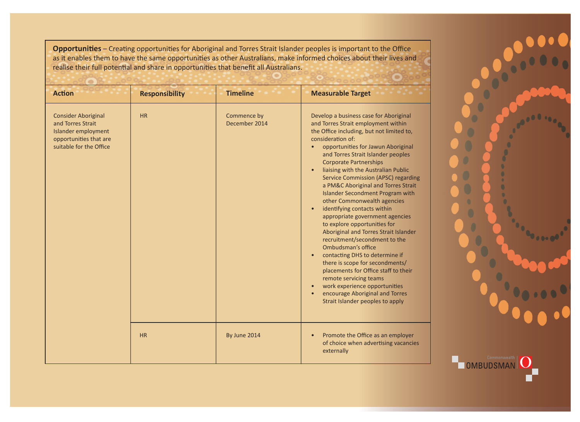**Opportunities** – Creating opportunities for Aboriginal and Torres Strait Islander peoples is important to the Office as it enables them to have the same opportunities as other Australians, make informed choices about their lives and realise their full potential and share in opportunities that benefit all Australians.

| <b>Action</b>                                                                                                               | <b>Responsibility</b> | <b>Timeline</b>              | <b>Measurable Target</b>                                                                                                                                                                                                                                                                                                                                                                                                                                                                                                                                                                                                                                                                                                                                                                                                                                                                                     |
|-----------------------------------------------------------------------------------------------------------------------------|-----------------------|------------------------------|--------------------------------------------------------------------------------------------------------------------------------------------------------------------------------------------------------------------------------------------------------------------------------------------------------------------------------------------------------------------------------------------------------------------------------------------------------------------------------------------------------------------------------------------------------------------------------------------------------------------------------------------------------------------------------------------------------------------------------------------------------------------------------------------------------------------------------------------------------------------------------------------------------------|
| <b>Consider Aboriginal</b><br>and Torres Strait<br>Islander employment<br>opportunities that are<br>suitable for the Office | HR                    | Commence by<br>December 2014 | Develop a business case for Aboriginal<br>and Torres Strait employment within<br>the Office including, but not limited to,<br>consideration of:<br>opportunities for Jawun Aboriginal<br>and Torres Strait Islander peoples<br><b>Corporate Partnerships</b><br>liaising with the Australian Public<br>Service Commission (APSC) regarding<br>a PM&C Aboriginal and Torres Strait<br><b>Islander Secondment Program with</b><br>other Commonwealth agencies<br>identifying contacts within<br>appropriate government agencies<br>to explore opportunities for<br>Aboriginal and Torres Strait Islander<br>recruitment/secondment to the<br>Ombudsman's office<br>contacting DHS to determine if<br>there is scope for secondments/<br>placements for Office staff to their<br>remote servicing teams<br>work experience opportunities<br>encourage Aboriginal and Torres<br>Strait Islander peoples to apply |
|                                                                                                                             | HR                    | By June 2014                 | Promote the Office as an employer<br>of choice when advertising vacancies<br>externally                                                                                                                                                                                                                                                                                                                                                                                                                                                                                                                                                                                                                                                                                                                                                                                                                      |

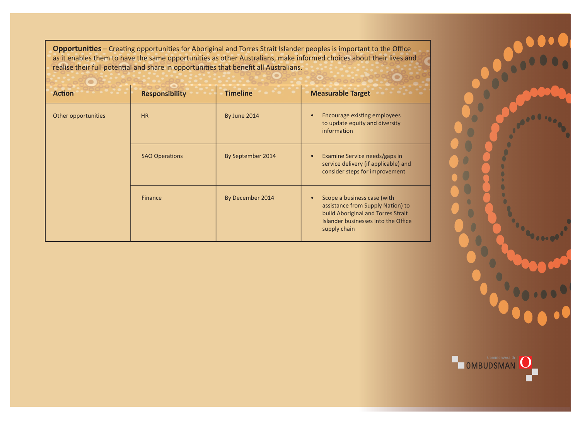**Opportunities** – Creating opportunities for Aboriginal and Torres Strait Islander peoples is important to the Office as it enables them to have the same opportunities as other Australians, make informed choices about their lives and realise their full potential and share in opportunities that benefit all Australians.

| <b>Action</b>       | <b>Responsibility</b> | <b>Timeline</b>   | <b>Measurable Target</b>                                                                                                                                      |
|---------------------|-----------------------|-------------------|---------------------------------------------------------------------------------------------------------------------------------------------------------------|
| Other opportunities | <b>HR</b>             | By June 2014      | <b>Encourage existing employees</b><br>to update equity and diversity<br>information                                                                          |
|                     | <b>SAO Operations</b> | By September 2014 | Examine Service needs/gaps in<br>$\bullet$<br>service delivery (if applicable) and<br>consider steps for improvement                                          |
|                     | Finance               | By December 2014  | Scope a business case (with<br>assistance from Supply Nation) to<br>build Aboriginal and Torres Strait<br>Islander businesses into the Office<br>supply chain |